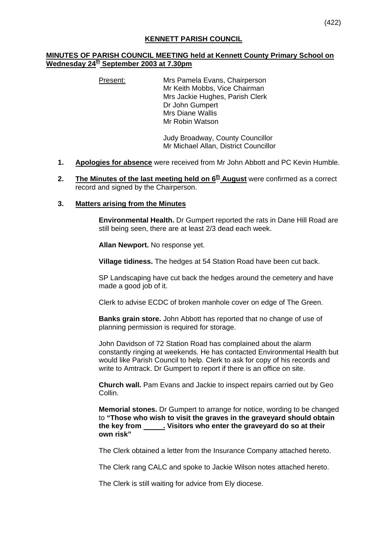### **KENNETT PARISH COUNCIL**

## **MINUTES OF PARISH COUNCIL MEETING held at Kennett County Primary School on Wednesday 24th September 2003 at 7.30pm**

Present: Mrs Pamela Evans, Chairperson Mr Keith Mobbs, Vice Chairman Mrs Jackie Hughes, Parish Clerk Dr John Gumpert Mrs Diane Wallis Mr Robin Watson

> Judy Broadway, County Councillor Mr Michael Allan, District Councillor

- **1. Apologies for absence** were received from Mr John Abbott and PC Kevin Humble.
- **2.** The Minutes of the last meeting held on  $6<sup>th</sup>$  August were confirmed as a correct record and signed by the Chairperson.

#### **3. Matters arising from the Minutes**

**Environmental Health.** Dr Gumpert reported the rats in Dane Hill Road are still being seen, there are at least 2/3 dead each week.

**Allan Newport.** No response yet.

**Village tidiness.** The hedges at 54 Station Road have been cut back.

SP Landscaping have cut back the hedges around the cemetery and have made a good job of it.

Clerk to advise ECDC of broken manhole cover on edge of The Green.

**Banks grain store.** John Abbott has reported that no change of use of planning permission is required for storage.

John Davidson of 72 Station Road has complained about the alarm constantly ringing at weekends. He has contacted Environmental Health but would like Parish Council to help. Clerk to ask for copy of his records and write to Amtrack. Dr Gumpert to report if there is an office on site.

**Church wall.** Pam Evans and Jackie to inspect repairs carried out by Geo Collin.

**Memorial stones.** Dr Gumpert to arrange for notice, wording to be changed to **"Those who wish to visit the graves in the graveyard should obtain the key from . Visitors who enter the graveyard do so at their own risk"**

The Clerk obtained a letter from the Insurance Company attached hereto.

The Clerk rang CALC and spoke to Jackie Wilson notes attached hereto.

The Clerk is still waiting for advice from Ely diocese.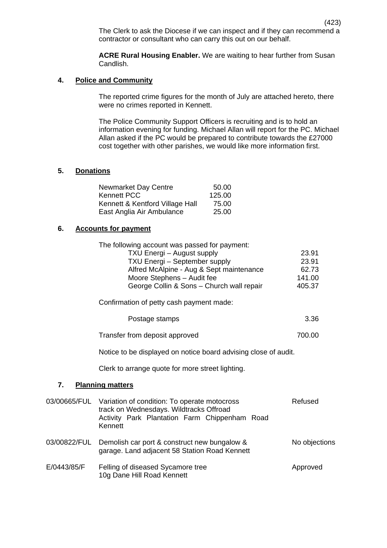(423) The Clerk to ask the Diocese if we can inspect and if they can recommend a contractor or consultant who can carry this out on our behalf.

**ACRE Rural Housing Enabler.** We are waiting to hear further from Susan Candlish.

#### **4. Police and Community**

The reported crime figures for the month of July are attached hereto, there were no crimes reported in Kennett.

The Police Community Support Officers is recruiting and is to hold an information evening for funding. Michael Allan will report for the PC. Michael Allan asked if the PC would be prepared to contribute towards the £27000 cost together with other parishes, we would like more information first.

# **5. Donations**

| Newmarket Day Centre            | 50.00  |
|---------------------------------|--------|
| Kennett PCC                     | 125.00 |
| Kennett & Kentford Village Hall | 75.00  |
| East Anglia Air Ambulance       | 25.00  |

### **6. Accounts for payment**

| The following account was passed for payment: |        |
|-----------------------------------------------|--------|
| TXU Energi - August supply                    | 23.91  |
| TXU Energi - September supply                 | 23.91  |
| Alfred McAlpine - Aug & Sept maintenance      | 62.73  |
| Moore Stephens - Audit fee                    | 141.00 |
| George Collin & Sons - Church wall repair     | 405.37 |

Confirmation of petty cash payment made:

| Postage stamps | 3.36 |
|----------------|------|
|----------------|------|

| Transfer from deposit approved | 700.00 |
|--------------------------------|--------|
|--------------------------------|--------|

Notice to be displayed on notice board advising close of audit.

Clerk to arrange quote for more street lighting.

# **7. Planning matters**

|             | 03/00665/FUL Variation of condition: To operate motocross<br>track on Wednesdays. Wildtracks Offroad<br>Activity Park Plantation Farm Chippenham Road<br>Kennett | Refused       |
|-------------|------------------------------------------------------------------------------------------------------------------------------------------------------------------|---------------|
|             | 03/00822/FUL Demolish car port & construct new bungalow &<br>garage. Land adjacent 58 Station Road Kennett                                                       | No objections |
| E/0443/85/F | Felling of diseased Sycamore tree<br>10g Dane Hill Road Kennett                                                                                                  | Approved      |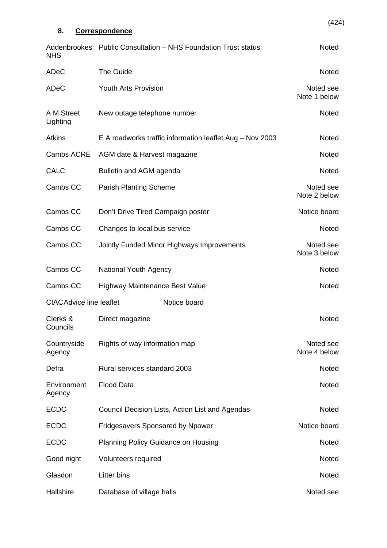| 8.                             | <b>Correspondence</b>                                    | (424)                     |
|--------------------------------|----------------------------------------------------------|---------------------------|
| Addenbrookes                   | <b>Public Consultation - NHS Foundation Trust status</b> | Noted                     |
| <b>NHS</b><br>ADeC             | The Guide                                                | <b>Noted</b>              |
| ADeC                           | <b>Youth Arts Provision</b>                              | Noted see<br>Note 1 below |
| A M Street<br>Lighting         | New outage telephone number                              | Noted                     |
| <b>Atkins</b>                  | E A roadworks traffic information leaflet Aug - Nov 2003 | <b>Noted</b>              |
| Cambs ACRE                     | AGM date & Harvest magazine                              | <b>Noted</b>              |
| <b>CALC</b>                    | Bulletin and AGM agenda                                  | <b>Noted</b>              |
| Cambs CC                       | <b>Parish Planting Scheme</b>                            | Noted see<br>Note 2 below |
| Cambs CC                       | Don't Drive Tired Campaign poster                        | Notice board              |
| Cambs CC                       | Changes to local bus service                             | Noted                     |
| Cambs CC                       | Jointly Funded Minor Highways Improvements               | Noted see<br>Note 3 below |
| Cambs CC                       | <b>National Youth Agency</b>                             | <b>Noted</b>              |
| Cambs CC                       | Highway Maintenance Best Value                           | <b>Noted</b>              |
| <b>CIACAdvice line leaflet</b> | Notice board                                             |                           |
| Clerks &<br>Councils           | Direct magazine                                          | <b>Noted</b>              |
| Countryside<br>Agency          | Rights of way information map                            | Noted see<br>Note 4 below |
| Defra                          | Rural services standard 2003                             | Noted                     |
| Environment<br>Agency          | <b>Flood Data</b>                                        | <b>Noted</b>              |
| <b>ECDC</b>                    | Council Decision Lists, Action List and Agendas          | <b>Noted</b>              |
| <b>ECDC</b>                    | Fridgesavers Sponsored by Npower                         | Notice board              |
| <b>ECDC</b>                    | <b>Planning Policy Guidance on Housing</b>               | <b>Noted</b>              |
| Good night                     | Volunteers required                                      | Noted                     |
| Glasdon                        | <b>Litter bins</b>                                       | Noted                     |
| Hallshire                      | Database of village halls                                | Noted see                 |